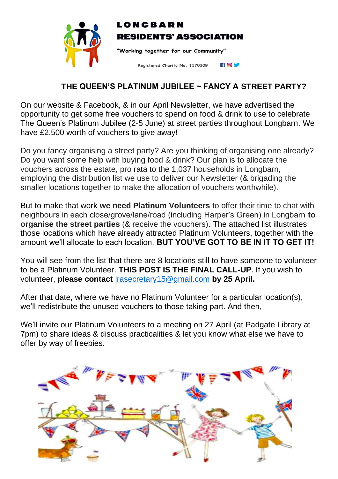

## LONCBARN **RESIDENTS' ASSOCIATION**

"Working together for our Community"

FOV Registered Charity No. 1170309

## **THE QUEEN'S PLATINUM JUBILEE ~ FANCY A STREET PARTY?**

On our website & Facebook, & in our April Newsletter, we have advertised the opportunity to get some free vouchers to spend on food & drink to use to celebrate The Queen's Platinum Jubilee (2-5 June) at street parties throughout Longbarn. We have £2,500 worth of vouchers to give away!

Do you fancy organising a street party? Are you thinking of organising one already? Do you want some help with buying food & drink? Our plan is to allocate the vouchers across the estate, pro rata to the 1,037 households in Longbarn, employing the distribution list we use to deliver our Newsletter (& brigading the smaller locations together to make the allocation of vouchers worthwhile).

But to make that work **we need Platinum Volunteers** to offer their time to chat with neighbours in each close/grove/lane/road (including Harper's Green) in Longbarn **to organise the street parties** (& receive the vouchers). The attached list illustrates those locations which have already attracted Platinum Volunteers, together with the amount we'll allocate to each location. **BUT YOU'VE GOT TO BE IN IT TO GET IT!**

You will see from the list that there are 8 locations still to have someone to volunteer to be a Platinum Volunteer. **THIS POST IS THE FINAL CALL-UP**. If you wish to volunteer, **please contact** [lrasecretary15@gmail.com](mailto:lrasecretary15@gmail.com) **by 25 April.**

After that date, where we have no Platinum Volunteer for a particular location(s), we'll redistribute the unused vouchers to those taking part. And then,

We'll invite our Platinum Volunteers to a meeting on 27 April (at Padgate Library at 7pm) to share ideas & discuss practicalities & let you know what else we have to offer by way of freebies.